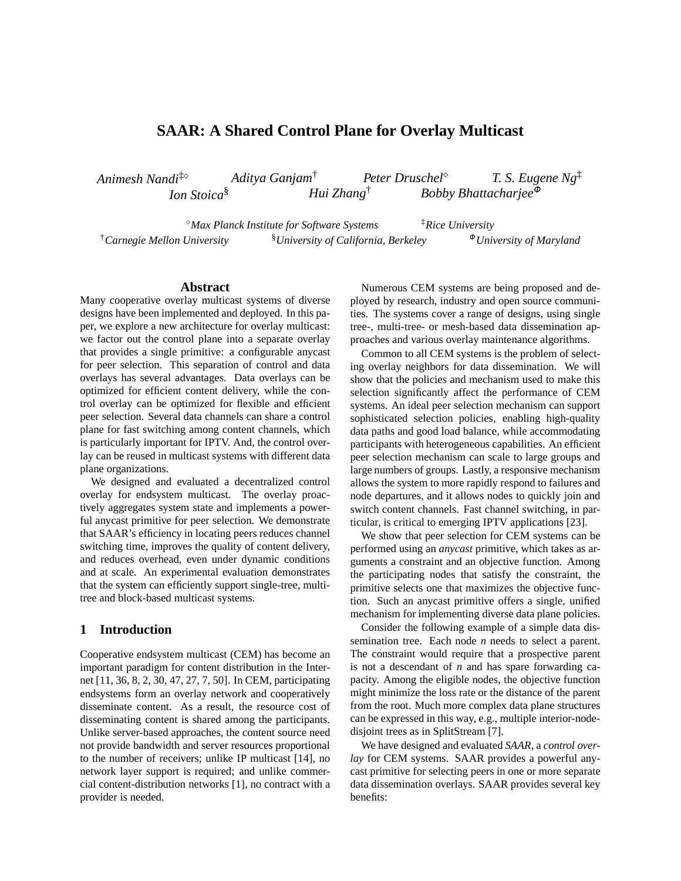# **SAAR: A Shared Control Plane for Overlay Multicast**

*Animesh Nandi*‡ *Aditya Ganjam*† *Peter Druschel T. S. Eugene Ng*‡ *Ion Stoica*§ *Hui Zhang*† *Bobby Bhattacharjee*<sup>Φ</sup>

*Max Planck Institute for Software Systems* ‡*Rice University* <sup>†</sup>Carnegie Mellon University <sup>§</sup>University of California, Berkeley <sup>Φ</sup>University of Maryland

### **Abstract**

Many cooperative overlay multicast systems of diverse designs have been implemented and deployed. In this paper, we explore a new architecture for overlay multicast: we factor out the control plane into a separate overlay that provides a single primitive: a configurable anycast for peer selection. This separation of control and data overlays has several advantages. Data overlays can be optimized for efficient content delivery, while the control overlay can be optimized for flexible and efficient peer selection. Several data channels can share a control plane for fast switching among content channels, which is particularly important for IPTV. And, the control overlay can be reused in multicast systems with different data plane organizations.

We designed and evaluated a decentralized control overlay for endsystem multicast. The overlay proactively aggregates system state and implements a powerful anycast primitive for peer selection. We demonstrate that SAAR's efficiency in locating peers reduces channel switching time, improves the quality of content delivery, and reduces overhead, even under dynamic conditions and at scale. An experimental evaluation demonstrates that the system can efficiently support single-tree, multitree and block-based multicast systems.

## **1 Introduction**

Cooperative endsystem multicast (CEM) has become an important paradigm for content distribution in the Internet [11, 36, 8, 2, 30, 47, 27, 7, 50]. In CEM, participating endsystems form an overlay network and cooperatively disseminate content. As a result, the resource cost of disseminating content is shared among the participants. Unlike server-based approaches, the content source need not provide bandwidth and server resources proportional to the number of receivers; unlike IP multicast [14], no network layer support is required; and unlike commercial content-distribution networks [1], no contract with a provider is needed.

Numerous CEM systems are being proposed and deployed by research, industry and open source communities. The systems cover a range of designs, using single tree-, multi-tree- or mesh-based data dissemination approaches and various overlay maintenance algorithms.

Common to all CEM systems is the problem of selecting overlay neighbors for data dissemination. We will show that the policies and mechanism used to make this selection significantly affect the performance of CEM systems. An ideal peer selection mechanism can support sophisticated selection policies, enabling high-quality data paths and good load balance, while accommodating participants with heterogeneous capabilities. An efficient peer selection mechanism can scale to large groups and large numbers of groups. Lastly, a responsive mechanism allows the system to more rapidly respond to failures and node departures, and it allows nodes to quickly join and switch content channels. Fast channel switching, in particular, is critical to emerging IPTV applications [23].

We show that peer selection for CEM systems can be performed using an *anycast* primitive, which takes as arguments a constraint and an objective function. Among the participating nodes that satisfy the constraint, the primitive selects one that maximizes the objective function. Such an anycast primitive offers a single, unified mechanism for implementing diverse data plane policies.

Consider the following example of a simple data dissemination tree. Each node *n* needs to select a parent. The constraint would require that a prospective parent is not a descendant of *n* and has spare forwarding capacity. Among the eligible nodes, the objective function might minimize the loss rate or the distance of the parent from the root. Much more complex data plane structures can be expressed in this way, e.g., multiple interior-nodedisjoint trees as in SplitStream [7].

We have designed and evaluated *SAAR*, a *control overlay* for CEM systems. SAAR provides a powerful anycast primitive for selecting peers in one or more separate data dissemination overlays. SAAR provides several key benefits: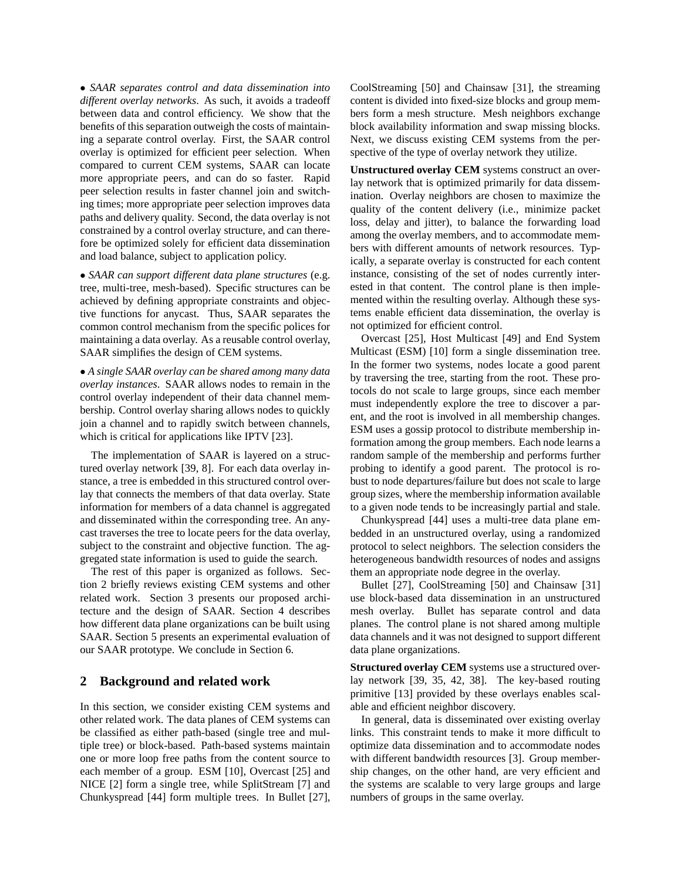• *SAAR separates control and data dissemination into different overlay networks*. As such, it avoids a tradeoff between data and control efficiency. We show that the benefits of this separation outweigh the costs of maintaining a separate control overlay. First, the SAAR control overlay is optimized for efficient peer selection. When compared to current CEM systems, SAAR can locate more appropriate peers, and can do so faster. Rapid peer selection results in faster channel join and switching times; more appropriate peer selection improves data paths and delivery quality. Second, the data overlay is not constrained by a control overlay structure, and can therefore be optimized solely for efficient data dissemination and load balance, subject to application policy.

• *SAAR can support different data plane structures* (e.g. tree, multi-tree, mesh-based). Specific structures can be achieved by defining appropriate constraints and objective functions for anycast. Thus, SAAR separates the common control mechanism from the specific polices for maintaining a data overlay. As a reusable control overlay, SAAR simplifies the design of CEM systems.

• *A single SAAR overlay can be shared among many data overlay instances*. SAAR allows nodes to remain in the control overlay independent of their data channel membership. Control overlay sharing allows nodes to quickly join a channel and to rapidly switch between channels, which is critical for applications like IPTV [23].

The implementation of SAAR is layered on a structured overlay network [39, 8]. For each data overlay instance, a tree is embedded in this structured control overlay that connects the members of that data overlay. State information for members of a data channel is aggregated and disseminated within the corresponding tree. An anycast traverses the tree to locate peers for the data overlay, subject to the constraint and objective function. The aggregated state information is used to guide the search.

The rest of this paper is organized as follows. Section 2 briefly reviews existing CEM systems and other related work. Section 3 presents our proposed architecture and the design of SAAR. Section 4 describes how different data plane organizations can be built using SAAR. Section 5 presents an experimental evaluation of our SAAR prototype. We conclude in Section 6.

## **2 Background and related work**

In this section, we consider existing CEM systems and other related work. The data planes of CEM systems can be classified as either path-based (single tree and multiple tree) or block-based. Path-based systems maintain one or more loop free paths from the content source to each member of a group. ESM [10], Overcast [25] and NICE [2] form a single tree, while SplitStream [7] and Chunkyspread [44] form multiple trees. In Bullet [27], CoolStreaming [50] and Chainsaw [31], the streaming content is divided into fixed-size blocks and group members form a mesh structure. Mesh neighbors exchange block availability information and swap missing blocks. Next, we discuss existing CEM systems from the perspective of the type of overlay network they utilize.

**Unstructured overlay CEM** systems construct an overlay network that is optimized primarily for data dissemination. Overlay neighbors are chosen to maximize the quality of the content delivery (i.e., minimize packet loss, delay and jitter), to balance the forwarding load among the overlay members, and to accommodate members with different amounts of network resources. Typically, a separate overlay is constructed for each content instance, consisting of the set of nodes currently interested in that content. The control plane is then implemented within the resulting overlay. Although these systems enable efficient data dissemination, the overlay is not optimized for efficient control.

Overcast [25], Host Multicast [49] and End System Multicast (ESM) [10] form a single dissemination tree. In the former two systems, nodes locate a good parent by traversing the tree, starting from the root. These protocols do not scale to large groups, since each member must independently explore the tree to discover a parent, and the root is involved in all membership changes. ESM uses a gossip protocol to distribute membership information among the group members. Each node learns a random sample of the membership and performs further probing to identify a good parent. The protocol is robust to node departures/failure but does not scale to large group sizes, where the membership information available to a given node tends to be increasingly partial and stale.

Chunkyspread [44] uses a multi-tree data plane embedded in an unstructured overlay, using a randomized protocol to select neighbors. The selection considers the heterogeneous bandwidth resources of nodes and assigns them an appropriate node degree in the overlay.

Bullet [27], CoolStreaming [50] and Chainsaw [31] use block-based data dissemination in an unstructured mesh overlay. Bullet has separate control and data planes. The control plane is not shared among multiple data channels and it was not designed to support different data plane organizations.

**Structured overlay CEM** systems use a structured overlay network [39, 35, 42, 38]. The key-based routing primitive [13] provided by these overlays enables scalable and efficient neighbor discovery.

In general, data is disseminated over existing overlay links. This constraint tends to make it more difficult to optimize data dissemination and to accommodate nodes with different bandwidth resources [3]. Group membership changes, on the other hand, are very efficient and the systems are scalable to very large groups and large numbers of groups in the same overlay.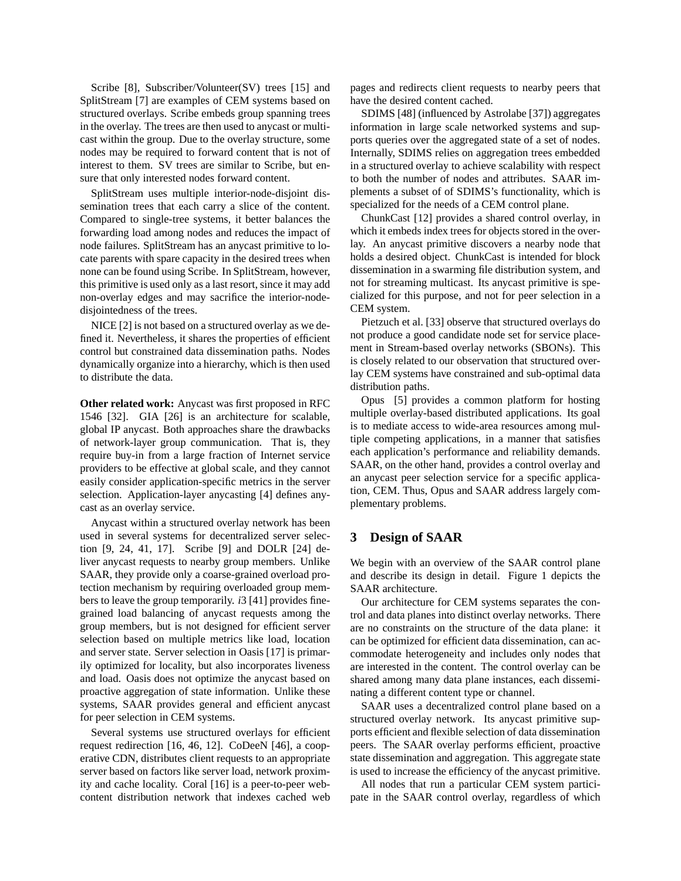Scribe [8], Subscriber/Volunteer(SV) trees [15] and SplitStream [7] are examples of CEM systems based on structured overlays. Scribe embeds group spanning trees in the overlay. The trees are then used to anycast or multicast within the group. Due to the overlay structure, some nodes may be required to forward content that is not of interest to them. SV trees are similar to Scribe, but ensure that only interested nodes forward content.

SplitStream uses multiple interior-node-disjoint dissemination trees that each carry a slice of the content. Compared to single-tree systems, it better balances the forwarding load among nodes and reduces the impact of node failures. SplitStream has an anycast primitive to locate parents with spare capacity in the desired trees when none can be found using Scribe. In SplitStream, however, this primitive is used only as a last resort, since it may add non-overlay edges and may sacrifice the interior-nodedisjointedness of the trees.

NICE [2] is not based on a structured overlay as we defined it. Nevertheless, it shares the properties of efficient control but constrained data dissemination paths. Nodes dynamically organize into a hierarchy, which is then used to distribute the data.

**Other related work:** Anycast was first proposed in RFC 1546 [32]. GIA [26] is an architecture for scalable, global IP anycast. Both approaches share the drawbacks of network-layer group communication. That is, they require buy-in from a large fraction of Internet service providers to be effective at global scale, and they cannot easily consider application-specific metrics in the server selection. Application-layer anycasting [4] defines anycast as an overlay service.

Anycast within a structured overlay network has been used in several systems for decentralized server selection [9, 24, 41, 17]. Scribe [9] and DOLR [24] deliver anycast requests to nearby group members. Unlike SAAR, they provide only a coarse-grained overload protection mechanism by requiring overloaded group members to leave the group temporarily. *i*3 [41] provides finegrained load balancing of anycast requests among the group members, but is not designed for efficient server selection based on multiple metrics like load, location and server state. Server selection in Oasis [17] is primarily optimized for locality, but also incorporates liveness and load. Oasis does not optimize the anycast based on proactive aggregation of state information. Unlike these systems, SAAR provides general and efficient anycast for peer selection in CEM systems.

Several systems use structured overlays for efficient request redirection [16, 46, 12]. CoDeeN [46], a cooperative CDN, distributes client requests to an appropriate server based on factors like server load, network proximity and cache locality. Coral [16] is a peer-to-peer webcontent distribution network that indexes cached web pages and redirects client requests to nearby peers that have the desired content cached.

SDIMS [48] (influenced by Astrolabe [37]) aggregates information in large scale networked systems and supports queries over the aggregated state of a set of nodes. Internally, SDIMS relies on aggregation trees embedded in a structured overlay to achieve scalability with respect to both the number of nodes and attributes. SAAR implements a subset of of SDIMS's functionality, which is specialized for the needs of a CEM control plane.

ChunkCast [12] provides a shared control overlay, in which it embeds index trees for objects stored in the overlay. An anycast primitive discovers a nearby node that holds a desired object. ChunkCast is intended for block dissemination in a swarming file distribution system, and not for streaming multicast. Its anycast primitive is specialized for this purpose, and not for peer selection in a CEM system.

Pietzuch et al. [33] observe that structured overlays do not produce a good candidate node set for service placement in Stream-based overlay networks (SBONs). This is closely related to our observation that structured overlay CEM systems have constrained and sub-optimal data distribution paths.

Opus [5] provides a common platform for hosting multiple overlay-based distributed applications. Its goal is to mediate access to wide-area resources among multiple competing applications, in a manner that satisfies each application's performance and reliability demands. SAAR, on the other hand, provides a control overlay and an anycast peer selection service for a specific application, CEM. Thus, Opus and SAAR address largely complementary problems.

### **3 Design of SAAR**

We begin with an overview of the SAAR control plane and describe its design in detail. Figure 1 depicts the SAAR architecture.

Our architecture for CEM systems separates the control and data planes into distinct overlay networks. There are no constraints on the structure of the data plane: it can be optimized for efficient data dissemination, can accommodate heterogeneity and includes only nodes that are interested in the content. The control overlay can be shared among many data plane instances, each disseminating a different content type or channel.

SAAR uses a decentralized control plane based on a structured overlay network. Its anycast primitive supports efficient and flexible selection of data dissemination peers. The SAAR overlay performs efficient, proactive state dissemination and aggregation. This aggregate state is used to increase the efficiency of the anycast primitive.

All nodes that run a particular CEM system participate in the SAAR control overlay, regardless of which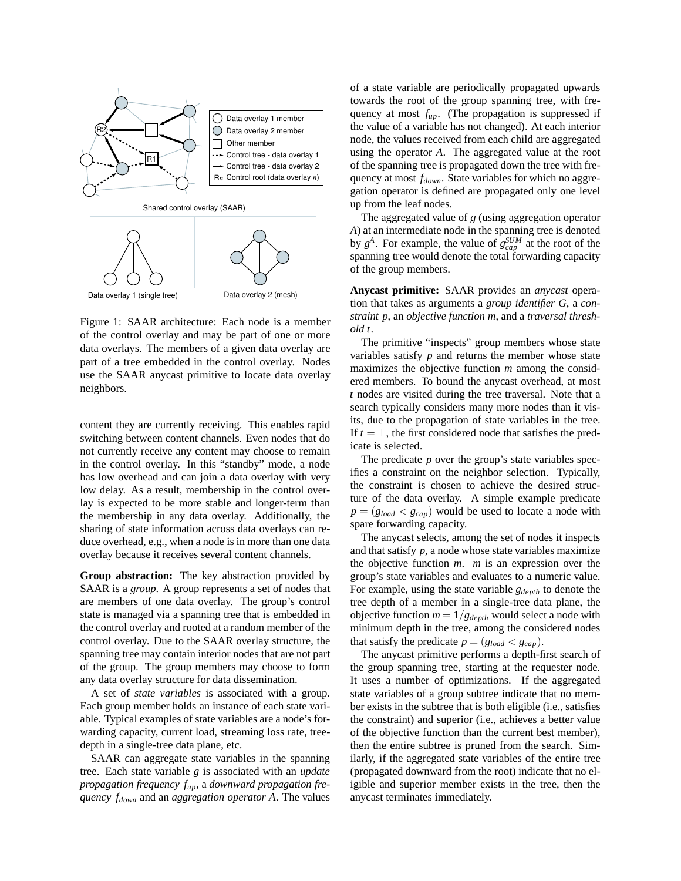

Figure 1: SAAR architecture: Each node is a member of the control overlay and may be part of one or more data overlays. The members of a given data overlay are part of a tree embedded in the control overlay. Nodes use the SAAR anycast primitive to locate data overlay neighbors.

content they are currently receiving. This enables rapid switching between content channels. Even nodes that do not currently receive any content may choose to remain in the control overlay. In this "standby" mode, a node has low overhead and can join a data overlay with very low delay. As a result, membership in the control overlay is expected to be more stable and longer-term than the membership in any data overlay. Additionally, the sharing of state information across data overlays can reduce overhead, e.g., when a node is in more than one data overlay because it receives several content channels.

**Group abstraction:** The key abstraction provided by SAAR is a *group*. A group represents a set of nodes that are members of one data overlay. The group's control state is managed via a spanning tree that is embedded in the control overlay and rooted at a random member of the control overlay. Due to the SAAR overlay structure, the spanning tree may contain interior nodes that are not part of the group. The group members may choose to form any data overlay structure for data dissemination.

A set of *state variables* is associated with a group. Each group member holds an instance of each state variable. Typical examples of state variables are a node's forwarding capacity, current load, streaming loss rate, treedepth in a single-tree data plane, etc.

SAAR can aggregate state variables in the spanning tree. Each state variable *g* is associated with an *update propagation frequency fup*, a *downward propagation frequency fdown* and an *aggregation operator A*. The values of a state variable are periodically propagated upwards towards the root of the group spanning tree, with frequency at most *fup*. (The propagation is suppressed if the value of a variable has not changed). At each interior node, the values received from each child are aggregated using the operator *A*. The aggregated value at the root of the spanning tree is propagated down the tree with frequency at most *fdown*. State variables for which no aggregation operator is defined are propagated only one level up from the leaf nodes.

The aggregated value of *g* (using aggregation operator *A*) at an intermediate node in the spanning tree is denoted by  $g^A$ . For example, the value of  $g_{cap}^{SUM}$  at the root of the spanning tree would denote the total forwarding capacity of the group members.

**Anycast primitive:** SAAR provides an *anycast* operation that takes as arguments a *group identifier G*, a *constraint p*, an *objective function m*, and a *traversal threshold t*.

The primitive "inspects" group members whose state variables satisfy  $p$  and returns the member whose state maximizes the objective function *m* among the considered members. To bound the anycast overhead, at most *t* nodes are visited during the tree traversal. Note that a search typically considers many more nodes than it visits, due to the propagation of state variables in the tree. If  $t = \perp$ , the first considered node that satisfies the predicate is selected.

The predicate *p* over the group's state variables specifies a constraint on the neighbor selection. Typically, the constraint is chosen to achieve the desired structure of the data overlay. A simple example predicate  $p = (g_{load} < g_{cap})$  would be used to locate a node with spare forwarding capacity.

The anycast selects, among the set of nodes it inspects and that satisfy *p*, a node whose state variables maximize the objective function *m*. *m* is an expression over the group's state variables and evaluates to a numeric value. For example, using the state variable *gdepth* to denote the tree depth of a member in a single-tree data plane, the objective function  $m = 1/g_{depth}$  would select a node with minimum depth in the tree, among the considered nodes that satisfy the predicate  $p = (g_{load} < g_{cap}).$ 

The anycast primitive performs a depth-first search of the group spanning tree, starting at the requester node. It uses a number of optimizations. If the aggregated state variables of a group subtree indicate that no member exists in the subtree that is both eligible (i.e., satisfies the constraint) and superior (i.e., achieves a better value of the objective function than the current best member), then the entire subtree is pruned from the search. Similarly, if the aggregated state variables of the entire tree (propagated downward from the root) indicate that no eligible and superior member exists in the tree, then the anycast terminates immediately.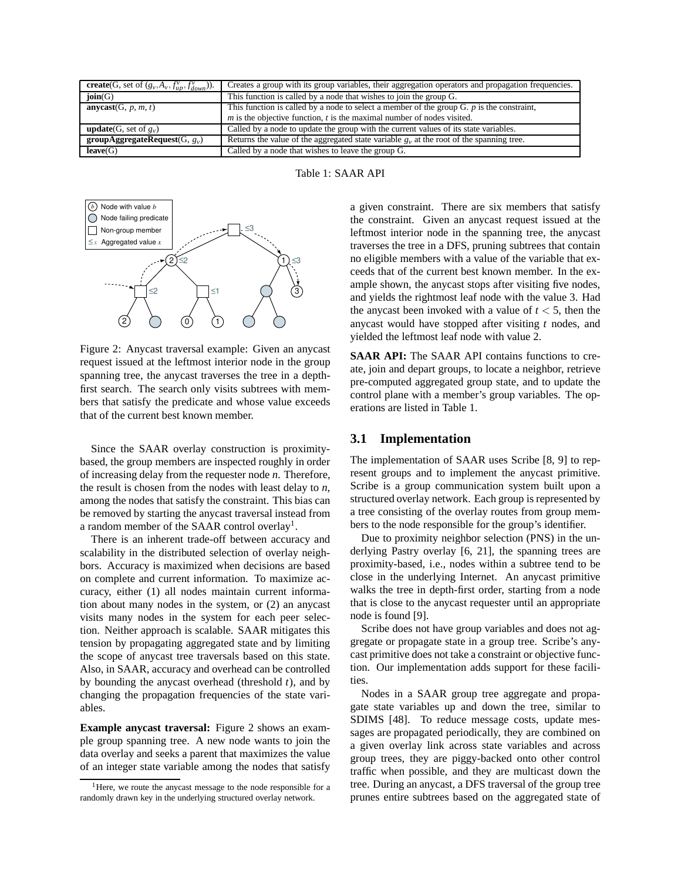| <b>create</b> (G, set of $(g_v, A_v, f_{up}^v, f_{down}^v)$ ). | Creates a group with its group variables, their aggregation operators and propagation frequencies. |
|----------------------------------------------------------------|----------------------------------------------------------------------------------------------------|
| join(G)                                                        | This function is called by a node that wishes to join the group G.                                 |
| anycast $(G, p, m, t)$                                         | This function is called by a node to select a member of the group G. $p$ is the constraint,        |
|                                                                | $m$ is the objective function, $t$ is the maximal number of nodes visited.                         |
| <b>update</b> (G, set of $g_v$ )                               | Called by a node to update the group with the current values of its state variables.               |
| groupAggregateRequest(G, $g_v$ )                               | Returns the value of the aggregated state variable $gv$ at the root of the spanning tree.          |
| leave(G)                                                       | Called by a node that wishes to leave the group G.                                                 |





Figure 2: Anycast traversal example: Given an anycast request issued at the leftmost interior node in the group spanning tree, the anycast traverses the tree in a depthfirst search. The search only visits subtrees with members that satisfy the predicate and whose value exceeds that of the current best known member.

Since the SAAR overlay construction is proximitybased, the group members are inspected roughly in order of increasing delay from the requester node *n*. Therefore, the result is chosen from the nodes with least delay to *n*, among the nodes that satisfy the constraint. This bias can be removed by starting the anycast traversal instead from a random member of the SAAR control overlay<sup>1</sup>.

There is an inherent trade-off between accuracy and scalability in the distributed selection of overlay neighbors. Accuracy is maximized when decisions are based on complete and current information. To maximize accuracy, either (1) all nodes maintain current information about many nodes in the system, or (2) an anycast visits many nodes in the system for each peer selection. Neither approach is scalable. SAAR mitigates this tension by propagating aggregated state and by limiting the scope of anycast tree traversals based on this state. Also, in SAAR, accuracy and overhead can be controlled by bounding the anycast overhead (threshold *t*), and by changing the propagation frequencies of the state variables.

**Example anycast traversal:** Figure 2 shows an example group spanning tree. A new node wants to join the data overlay and seeks a parent that maximizes the value of an integer state variable among the nodes that satisfy a given constraint. There are six members that satisfy the constraint. Given an anycast request issued at the leftmost interior node in the spanning tree, the anycast traverses the tree in a DFS, pruning subtrees that contain no eligible members with a value of the variable that exceeds that of the current best known member. In the example shown, the anycast stops after visiting five nodes, and yields the rightmost leaf node with the value 3. Had the any cast been invoked with a value of  $t < 5$ , then the anycast would have stopped after visiting *t* nodes, and yielded the leftmost leaf node with value 2.

**SAAR API:** The SAAR API contains functions to create, join and depart groups, to locate a neighbor, retrieve pre-computed aggregated group state, and to update the control plane with a member's group variables. The operations are listed in Table 1.

### **3.1 Implementation**

The implementation of SAAR uses Scribe [8, 9] to represent groups and to implement the anycast primitive. Scribe is a group communication system built upon a structured overlay network. Each group is represented by a tree consisting of the overlay routes from group members to the node responsible for the group's identifier.

Due to proximity neighbor selection (PNS) in the underlying Pastry overlay [6, 21], the spanning trees are proximity-based, i.e., nodes within a subtree tend to be close in the underlying Internet. An anycast primitive walks the tree in depth-first order, starting from a node that is close to the anycast requester until an appropriate node is found [9].

Scribe does not have group variables and does not aggregate or propagate state in a group tree. Scribe's anycast primitive does not take a constraint or objective function. Our implementation adds support for these facilities.

Nodes in a SAAR group tree aggregate and propagate state variables up and down the tree, similar to SDIMS [48]. To reduce message costs, update messages are propagated periodically, they are combined on a given overlay link across state variables and across group trees, they are piggy-backed onto other control traffic when possible, and they are multicast down the tree. During an anycast, a DFS traversal of the group tree prunes entire subtrees based on the aggregated state of

 $<sup>1</sup>$  Here, we route the anycast message to the node responsible for a</sup> randomly drawn key in the underlying structured overlay network.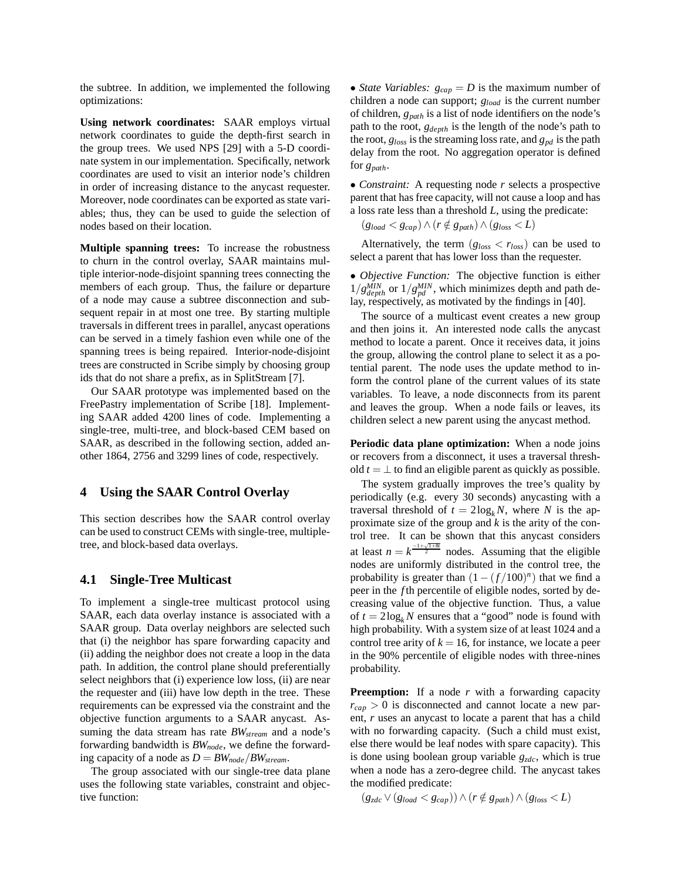the subtree. In addition, we implemented the following optimizations:

**Using network coordinates:** SAAR employs virtual network coordinates to guide the depth-first search in the group trees. We used NPS [29] with a 5-D coordinate system in our implementation. Specifically, network coordinates are used to visit an interior node's children in order of increasing distance to the anycast requester. Moreover, node coordinates can be exported as state variables; thus, they can be used to guide the selection of nodes based on their location.

**Multiple spanning trees:** To increase the robustness to churn in the control overlay, SAAR maintains multiple interior-node-disjoint spanning trees connecting the members of each group. Thus, the failure or departure of a node may cause a subtree disconnection and subsequent repair in at most one tree. By starting multiple traversals in different trees in parallel, anycast operations can be served in a timely fashion even while one of the spanning trees is being repaired. Interior-node-disjoint trees are constructed in Scribe simply by choosing group ids that do not share a prefix, as in SplitStream [7].

Our SAAR prototype was implemented based on the FreePastry implementation of Scribe [18]. Implementing SAAR added 4200 lines of code. Implementing a single-tree, multi-tree, and block-based CEM based on SAAR, as described in the following section, added another 1864, 2756 and 3299 lines of code, respectively.

#### **4 Using the SAAR Control Overlay**

This section describes how the SAAR control overlay can be used to construct CEMs with single-tree, multipletree, and block-based data overlays.

### **4.1 Single-Tree Multicast**

To implement a single-tree multicast protocol using SAAR, each data overlay instance is associated with a SAAR group. Data overlay neighbors are selected such that (i) the neighbor has spare forwarding capacity and (ii) adding the neighbor does not create a loop in the data path. In addition, the control plane should preferentially select neighbors that (i) experience low loss, (ii) are near the requester and (iii) have low depth in the tree. These requirements can be expressed via the constraint and the objective function arguments to a SAAR anycast. Assuming the data stream has rate *BWstream* and a node's forwarding bandwidth is *BWnode*, we define the forwarding capacity of a node as  $D = BW_{node}/BW_{stream}$ .

The group associated with our single-tree data plane uses the following state variables, constraint and objective function:

• *State Variables:*  $g_{cap} = D$  is the maximum number of children a node can support; *gload* is the current number of children, *gpath* is a list of node identifiers on the node's path to the root, *gdepth* is the length of the node's path to the root,  $g_{loss}$  is the streaming loss rate, and  $g_{pd}$  is the path delay from the root. No aggregation operator is defined for *gpath*.

• *Constraint:* A requesting node *r* selects a prospective parent that has free capacity, will not cause a loop and has a loss rate less than a threshold *L*, using the predicate:

 $(g_{load} < g_{cap}) ∧ (r \notin g_{path}) ∧ (g_{loss} < L)$ 

Alternatively, the term  $(g<sub>loss</sub> < r<sub>loss</sub>)$  can be used to select a parent that has lower loss than the requester.

• *Objective Function:* The objective function is either  $1/g_{depth}^{MIN}$  or  $1/g_{pd}^{MIN}$ , which minimizes depth and path delay, respectively, as motivated by the findings in [40].

The source of a multicast event creates a new group and then joins it. An interested node calls the anycast method to locate a parent. Once it receives data, it joins the group, allowing the control plane to select it as a potential parent. The node uses the update method to inform the control plane of the current values of its state variables. To leave, a node disconnects from its parent and leaves the group. When a node fails or leaves, its children select a new parent using the anycast method.

**Periodic data plane optimization:** When a node joins or recovers from a disconnect, it uses a traversal threshold  $t = \perp$  to find an eligible parent as quickly as possible.

The system gradually improves the tree's quality by periodically (e.g. every 30 seconds) anycasting with a traversal threshold of  $t = 2\log_k N$ , where *N* is the approximate size of the group and *k* is the arity of the control tree. It can be shown that this anycast considers at least  $n = k^{\frac{-1+\sqrt{1+8t}}{2}}$  nodes. Assuming that the eligible nodes are uniformly distributed in the control tree, the probability is greater than  $(1 - (f/100)^n)$  that we find a peer in the *f* th percentile of eligible nodes, sorted by decreasing value of the objective function. Thus, a value of  $t = 2\log_k N$  ensures that a "good" node is found with high probability. With a system size of at least 1024 and a control tree arity of  $k = 16$ , for instance, we locate a peer in the 90% percentile of eligible nodes with three-nines probability.

**Preemption:** If a node *r* with a forwarding capacity  $r_{cap} > 0$  is disconnected and cannot locate a new parent, *r* uses an anycast to locate a parent that has a child with no forwarding capacity. (Such a child must exist, else there would be leaf nodes with spare capacity). This is done using boolean group variable *gzdc*, which is true when a node has a zero-degree child. The anycast takes the modified predicate:

 $(g_{zdc} ∨ (g_{load} < g_{cap})) ∧ (r \notin g_{path}) ∧ (g_{loss} < L)$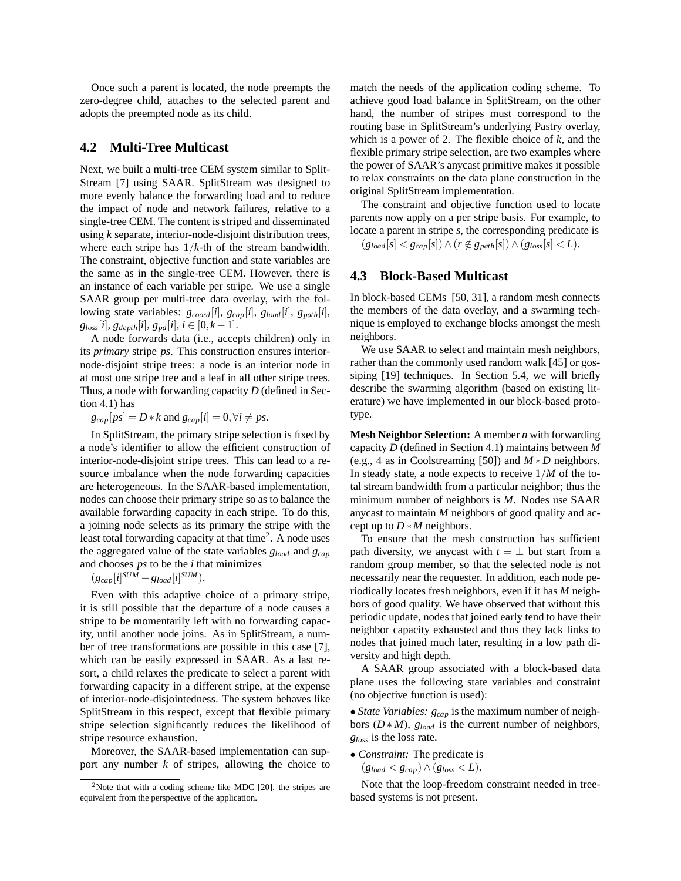Once such a parent is located, the node preempts the zero-degree child, attaches to the selected parent and adopts the preempted node as its child.

## **4.2 Multi-Tree Multicast**

Next, we built a multi-tree CEM system similar to Split-Stream [7] using SAAR. SplitStream was designed to more evenly balance the forwarding load and to reduce the impact of node and network failures, relative to a single-tree CEM. The content is striped and disseminated using *k* separate, interior-node-disjoint distribution trees, where each stripe has 1/*k*-th of the stream bandwidth. The constraint, objective function and state variables are the same as in the single-tree CEM. However, there is an instance of each variable per stripe. We use a single SAAR group per multi-tree data overlay, with the following state variables: *gcoord*[*i*], *gcap*[*i*], *gload* [*i*], *gpath*[*i*],  $g_{loss}[i], g_{depth}[i], g_{pd}[i], i \in [0, k-1].$ 

A node forwards data (i.e., accepts children) only in its *primary* stripe *ps*. This construction ensures interiornode-disjoint stripe trees: a node is an interior node in at most one stripe tree and a leaf in all other stripe trees. Thus, a node with forwarding capacity *D* (defined in Section 4.1) has

 $g_{cap}[ps] = D * k$  and  $g_{cap}[i] = 0, \forall i \neq ps$ .

In SplitStream, the primary stripe selection is fixed by a node's identifier to allow the efficient construction of interior-node-disjoint stripe trees. This can lead to a resource imbalance when the node forwarding capacities are heterogeneous. In the SAAR-based implementation, nodes can choose their primary stripe so as to balance the available forwarding capacity in each stripe. To do this, a joining node selects as its primary the stripe with the least total forwarding capacity at that time<sup>2</sup>. A node uses the aggregated value of the state variables *gload* and *gcap* and chooses *ps* to be the *i* that minimizes

 $(g_{cap}[i]^{SUM} - g_{load}[i]^{SUM}).$ 

Even with this adaptive choice of a primary stripe, it is still possible that the departure of a node causes a stripe to be momentarily left with no forwarding capacity, until another node joins. As in SplitStream, a number of tree transformations are possible in this case [7], which can be easily expressed in SAAR. As a last resort, a child relaxes the predicate to select a parent with forwarding capacity in a different stripe, at the expense of interior-node-disjointedness. The system behaves like SplitStream in this respect, except that flexible primary stripe selection significantly reduces the likelihood of stripe resource exhaustion.

Moreover, the SAAR-based implementation can support any number *k* of stripes, allowing the choice to match the needs of the application coding scheme. To achieve good load balance in SplitStream, on the other hand, the number of stripes must correspond to the routing base in SplitStream's underlying Pastry overlay, which is a power of 2. The flexible choice of *k*, and the flexible primary stripe selection, are two examples where the power of SAAR's anycast primitive makes it possible to relax constraints on the data plane construction in the original SplitStream implementation.

The constraint and objective function used to locate parents now apply on a per stripe basis. For example, to locate a parent in stripe *s*, the corresponding predicate is  $(g_{load}[s] < g_{cap}[s]) \wedge (r \notin g_{path}[s]) \wedge (g_{loss}[s] < L).$ 

## **4.3 Block-Based Multicast**

In block-based CEMs [50, 31], a random mesh connects the members of the data overlay, and a swarming technique is employed to exchange blocks amongst the mesh neighbors.

We use SAAR to select and maintain mesh neighbors, rather than the commonly used random walk [45] or gossiping [19] techniques. In Section 5.4, we will briefly describe the swarming algorithm (based on existing literature) we have implemented in our block-based prototype.

**Mesh Neighbor Selection:** A member *n* with forwarding capacity *D* (defined in Section 4.1) maintains between *M* (e.g., 4 as in Coolstreaming [50]) and *M* ∗ *D* neighbors. In steady state, a node expects to receive  $1/M$  of the total stream bandwidth from a particular neighbor; thus the minimum number of neighbors is *M*. Nodes use SAAR anycast to maintain *M* neighbors of good quality and accept up to  $D * M$  neighbors.

To ensure that the mesh construction has sufficient path diversity, we any cast with  $t = \perp$  but start from a random group member, so that the selected node is not necessarily near the requester. In addition, each node periodically locates fresh neighbors, even if it has *M* neighbors of good quality. We have observed that without this periodic update, nodes that joined early tend to have their neighbor capacity exhausted and thus they lack links to nodes that joined much later, resulting in a low path diversity and high depth.

A SAAR group associated with a block-based data plane uses the following state variables and constraint (no objective function is used):

• *State Variables: gcap* is the maximum number of neighbors (*D* ∗ *M*), *gload* is the current number of neighbors, *gloss* is the loss rate.

• *Constraint:* The predicate is

```
(g_{load} < g_{cap}) \wedge (g_{loss} < L).
```
Note that the loop-freedom constraint needed in treebased systems is not present.

<sup>&</sup>lt;sup>2</sup>Note that with a coding scheme like MDC [20], the stripes are equivalent from the perspective of the application.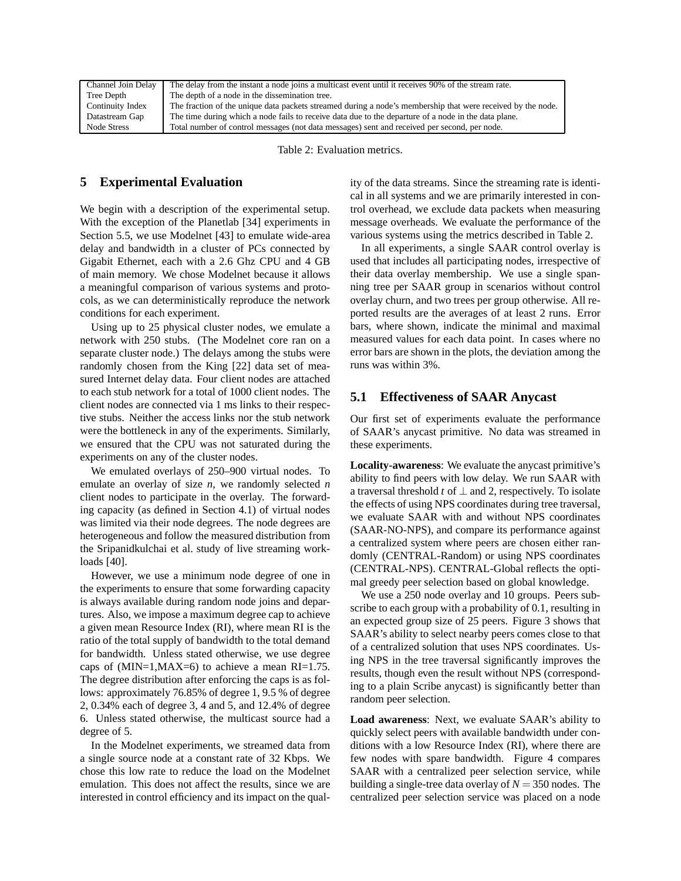| Channel Join Delay | The delay from the instant a node joins a multicast event until it receives 90% of the stream rate.         |
|--------------------|-------------------------------------------------------------------------------------------------------------|
| Tree Depth         | The depth of a node in the dissemination tree.                                                              |
| Continuity Index   | The fraction of the unique data packets streamed during a node's membership that were received by the node. |
| Datastream Gap     | The time during which a node fails to receive data due to the departure of a node in the data plane.        |
| Node Stress        | Total number of control messages (not data messages) sent and received per second, per node.                |

Table 2: Evaluation metrics.

## **5 Experimental Evaluation**

We begin with a description of the experimental setup. With the exception of the Planetlab [34] experiments in Section 5.5, we use Modelnet [43] to emulate wide-area delay and bandwidth in a cluster of PCs connected by Gigabit Ethernet, each with a 2.6 Ghz CPU and 4 GB of main memory. We chose Modelnet because it allows a meaningful comparison of various systems and protocols, as we can deterministically reproduce the network conditions for each experiment.

Using up to 25 physical cluster nodes, we emulate a network with 250 stubs. (The Modelnet core ran on a separate cluster node.) The delays among the stubs were randomly chosen from the King [22] data set of measured Internet delay data. Four client nodes are attached to each stub network for a total of 1000 client nodes. The client nodes are connected via 1 ms links to their respective stubs. Neither the access links nor the stub network were the bottleneck in any of the experiments. Similarly, we ensured that the CPU was not saturated during the experiments on any of the cluster nodes.

We emulated overlays of 250–900 virtual nodes. To emulate an overlay of size *n*, we randomly selected *n* client nodes to participate in the overlay. The forwarding capacity (as defined in Section 4.1) of virtual nodes was limited via their node degrees. The node degrees are heterogeneous and follow the measured distribution from the Sripanidkulchai et al. study of live streaming workloads [40].

However, we use a minimum node degree of one in the experiments to ensure that some forwarding capacity is always available during random node joins and departures. Also, we impose a maximum degree cap to achieve a given mean Resource Index (RI), where mean RI is the ratio of the total supply of bandwidth to the total demand for bandwidth. Unless stated otherwise, we use degree caps of  $(MIN=1, MAX=6)$  to achieve a mean RI=1.75. The degree distribution after enforcing the caps is as follows: approximately 76.85% of degree 1, 9.5 % of degree 2, 0.34% each of degree 3, 4 and 5, and 12.4% of degree 6. Unless stated otherwise, the multicast source had a degree of 5.

In the Modelnet experiments, we streamed data from a single source node at a constant rate of 32 Kbps. We chose this low rate to reduce the load on the Modelnet emulation. This does not affect the results, since we are interested in control efficiency and its impact on the quality of the data streams. Since the streaming rate is identical in all systems and we are primarily interested in control overhead, we exclude data packets when measuring message overheads. We evaluate the performance of the various systems using the metrics described in Table 2.

In all experiments, a single SAAR control overlay is used that includes all participating nodes, irrespective of their data overlay membership. We use a single spanning tree per SAAR group in scenarios without control overlay churn, and two trees per group otherwise. All reported results are the averages of at least 2 runs. Error bars, where shown, indicate the minimal and maximal measured values for each data point. In cases where no error bars are shown in the plots, the deviation among the runs was within 3%.

## **5.1 Effectiveness of SAAR Anycast**

Our first set of experiments evaluate the performance of SAAR's anycast primitive. No data was streamed in these experiments.

**Locality-awareness**: We evaluate the anycast primitive's ability to find peers with low delay. We run SAAR with a traversal threshold *t* of ⊥ and 2, respectively. To isolate the effects of using NPS coordinates during tree traversal, we evaluate SAAR with and without NPS coordinates (SAAR-NO-NPS), and compare its performance against a centralized system where peers are chosen either randomly (CENTRAL-Random) or using NPS coordinates (CENTRAL-NPS). CENTRAL-Global reflects the optimal greedy peer selection based on global knowledge.

We use a 250 node overlay and 10 groups. Peers subscribe to each group with a probability of 0.1, resulting in an expected group size of 25 peers. Figure 3 shows that SAAR's ability to select nearby peers comes close to that of a centralized solution that uses NPS coordinates. Using NPS in the tree traversal significantly improves the results, though even the result without NPS (corresponding to a plain Scribe anycast) is significantly better than random peer selection.

**Load awareness**: Next, we evaluate SAAR's ability to quickly select peers with available bandwidth under conditions with a low Resource Index (RI), where there are few nodes with spare bandwidth. Figure 4 compares SAAR with a centralized peer selection service, while building a single-tree data overlay of  $N = 350$  nodes. The centralized peer selection service was placed on a node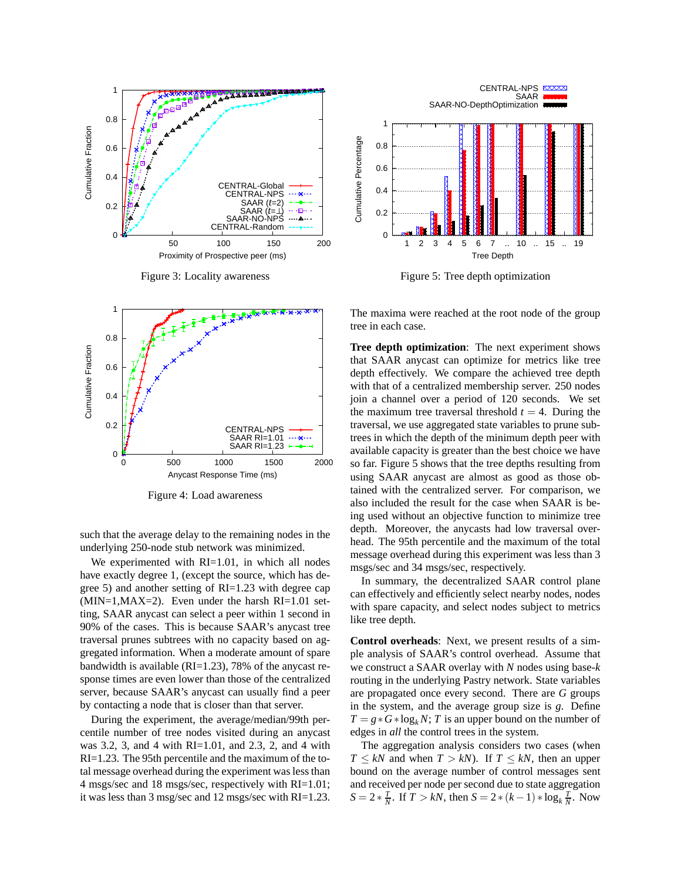

Figure 3: Locality awareness



Figure 4: Load awareness

such that the average delay to the remaining nodes in the underlying 250-node stub network was minimized.

We experimented with RI=1.01, in which all nodes have exactly degree 1, (except the source, which has degree 5) and another setting of RI=1.23 with degree cap  $(MIN=1, MAX=2)$ . Even under the harsh  $RI=1.01$  setting, SAAR anycast can select a peer within 1 second in 90% of the cases. This is because SAAR's anycast tree traversal prunes subtrees with no capacity based on aggregated information. When a moderate amount of spare bandwidth is available (RI=1.23), 78% of the anycast response times are even lower than those of the centralized server, because SAAR's anycast can usually find a peer by contacting a node that is closer than that server.

During the experiment, the average/median/99th percentile number of tree nodes visited during an anycast was 3.2, 3, and 4 with RI=1.01, and 2.3, 2, and 4 with RI=1.23. The 95th percentile and the maximum of the total message overhead during the experiment was less than 4 msgs/sec and 18 msgs/sec, respectively with RI=1.01; it was less than 3 msg/sec and 12 msgs/sec with RI=1.23.



Figure 5: Tree depth optimization

The maxima were reached at the root node of the group tree in each case.

**Tree depth optimization**: The next experiment shows that SAAR anycast can optimize for metrics like tree depth effectively. We compare the achieved tree depth with that of a centralized membership server. 250 nodes join a channel over a period of 120 seconds. We set the maximum tree traversal threshold  $t = 4$ . During the traversal, we use aggregated state variables to prune subtrees in which the depth of the minimum depth peer with available capacity is greater than the best choice we have so far. Figure 5 shows that the tree depths resulting from using SAAR anycast are almost as good as those obtained with the centralized server. For comparison, we also included the result for the case when SAAR is being used without an objective function to minimize tree depth. Moreover, the anycasts had low traversal overhead. The 95th percentile and the maximum of the total message overhead during this experiment was less than 3 msgs/sec and 34 msgs/sec, respectively.

In summary, the decentralized SAAR control plane can effectively and efficiently select nearby nodes, nodes with spare capacity, and select nodes subject to metrics like tree depth.

**Control overheads**: Next, we present results of a simple analysis of SAAR's control overhead. Assume that we construct a SAAR overlay with *N* nodes using base-*k* routing in the underlying Pastry network. State variables are propagated once every second. There are *G* groups in the system, and the average group size is *g*. Define  $T = g * G * log<sub>k</sub> N$ ; *T* is an upper bound on the number of edges in *all* the control trees in the system.

The aggregation analysis considers two cases (when *T*  $\leq kN$  and when *T*  $> kN$ ). If *T*  $\leq kN$ , then an upper bound on the average number of control messages sent and received per node per second due to state aggregation  $S = 2 * \frac{T}{N}$ . If  $T > kN$ , then  $S = 2 * (k - 1) * \log_k \frac{T}{N}$ . Now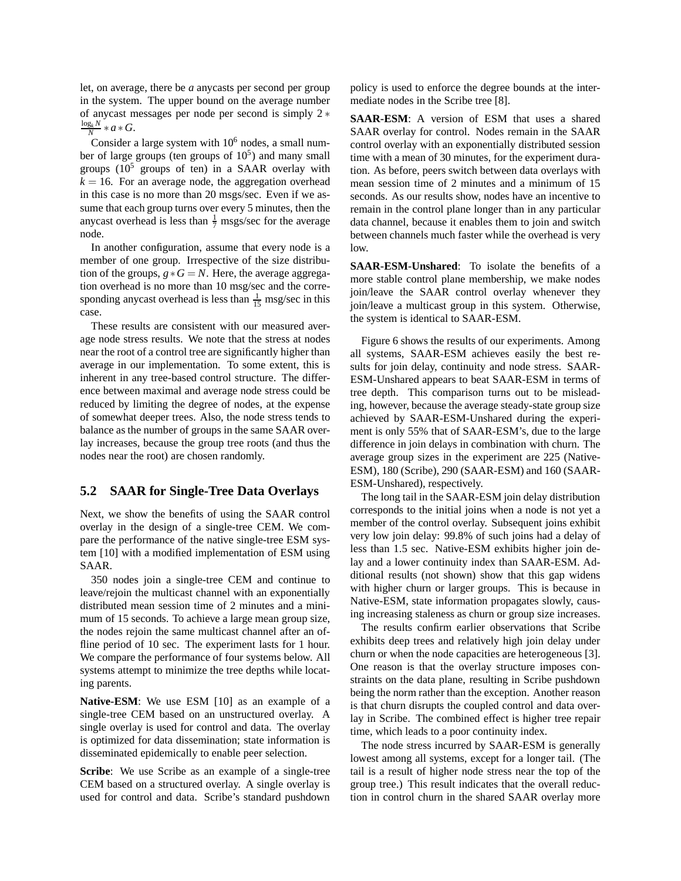let, on average, there be *a* anycasts per second per group in the system. The upper bound on the average number of anycast messages per node per second is simply 2 ∗  $\frac{\log_k N}{N}$  \* *a* \* *G*.

Consider a large system with  $10<sup>6</sup>$  nodes, a small number of large groups (ten groups of  $10<sup>5</sup>$ ) and many small groups  $(10^5$  groups of ten) in a SAAR overlay with  $k = 16$ . For an average node, the aggregation overhead in this case is no more than 20 msgs/sec. Even if we assume that each group turns over every 5 minutes, then the anycast overhead is less than  $\frac{1}{7}$  msgs/sec for the average node.

In another configuration, assume that every node is a member of one group. Irrespective of the size distribution of the groups,  $g * G = N$ . Here, the average aggregation overhead is no more than 10 msg/sec and the corresponding any cast overhead is less than  $\frac{1}{15}$  msg/sec in this case.

These results are consistent with our measured average node stress results. We note that the stress at nodes near the root of a control tree are significantly higher than average in our implementation. To some extent, this is inherent in any tree-based control structure. The difference between maximal and average node stress could be reduced by limiting the degree of nodes, at the expense of somewhat deeper trees. Also, the node stress tends to balance as the number of groups in the same SAAR overlay increases, because the group tree roots (and thus the nodes near the root) are chosen randomly.

### **5.2 SAAR for Single-Tree Data Overlays**

Next, we show the benefits of using the SAAR control overlay in the design of a single-tree CEM. We compare the performance of the native single-tree ESM system [10] with a modified implementation of ESM using SAAR.

350 nodes join a single-tree CEM and continue to leave/rejoin the multicast channel with an exponentially distributed mean session time of 2 minutes and a minimum of 15 seconds. To achieve a large mean group size, the nodes rejoin the same multicast channel after an offline period of 10 sec. The experiment lasts for 1 hour. We compare the performance of four systems below. All systems attempt to minimize the tree depths while locating parents.

**Native-ESM**: We use ESM [10] as an example of a single-tree CEM based on an unstructured overlay. A single overlay is used for control and data. The overlay is optimized for data dissemination; state information is disseminated epidemically to enable peer selection.

**Scribe**: We use Scribe as an example of a single-tree CEM based on a structured overlay. A single overlay is used for control and data. Scribe's standard pushdown policy is used to enforce the degree bounds at the intermediate nodes in the Scribe tree [8].

**SAAR-ESM**: A version of ESM that uses a shared SAAR overlay for control. Nodes remain in the SAAR control overlay with an exponentially distributed session time with a mean of 30 minutes, for the experiment duration. As before, peers switch between data overlays with mean session time of 2 minutes and a minimum of 15 seconds. As our results show, nodes have an incentive to remain in the control plane longer than in any particular data channel, because it enables them to join and switch between channels much faster while the overhead is very low.

**SAAR-ESM-Unshared**: To isolate the benefits of a more stable control plane membership, we make nodes join/leave the SAAR control overlay whenever they join/leave a multicast group in this system. Otherwise, the system is identical to SAAR-ESM.

Figure 6 shows the results of our experiments. Among all systems, SAAR-ESM achieves easily the best results for join delay, continuity and node stress. SAAR-ESM-Unshared appears to beat SAAR-ESM in terms of tree depth. This comparison turns out to be misleading, however, because the average steady-state group size achieved by SAAR-ESM-Unshared during the experiment is only 55% that of SAAR-ESM's, due to the large difference in join delays in combination with churn. The average group sizes in the experiment are 225 (Native-ESM), 180 (Scribe), 290 (SAAR-ESM) and 160 (SAAR-ESM-Unshared), respectively.

The long tail in the SAAR-ESM join delay distribution corresponds to the initial joins when a node is not yet a member of the control overlay. Subsequent joins exhibit very low join delay: 99.8% of such joins had a delay of less than 1.5 sec. Native-ESM exhibits higher join delay and a lower continuity index than SAAR-ESM. Additional results (not shown) show that this gap widens with higher churn or larger groups. This is because in Native-ESM, state information propagates slowly, causing increasing staleness as churn or group size increases.

The results confirm earlier observations that Scribe exhibits deep trees and relatively high join delay under churn or when the node capacities are heterogeneous [3]. One reason is that the overlay structure imposes constraints on the data plane, resulting in Scribe pushdown being the norm rather than the exception. Another reason is that churn disrupts the coupled control and data overlay in Scribe. The combined effect is higher tree repair time, which leads to a poor continuity index.

The node stress incurred by SAAR-ESM is generally lowest among all systems, except for a longer tail. (The tail is a result of higher node stress near the top of the group tree.) This result indicates that the overall reduction in control churn in the shared SAAR overlay more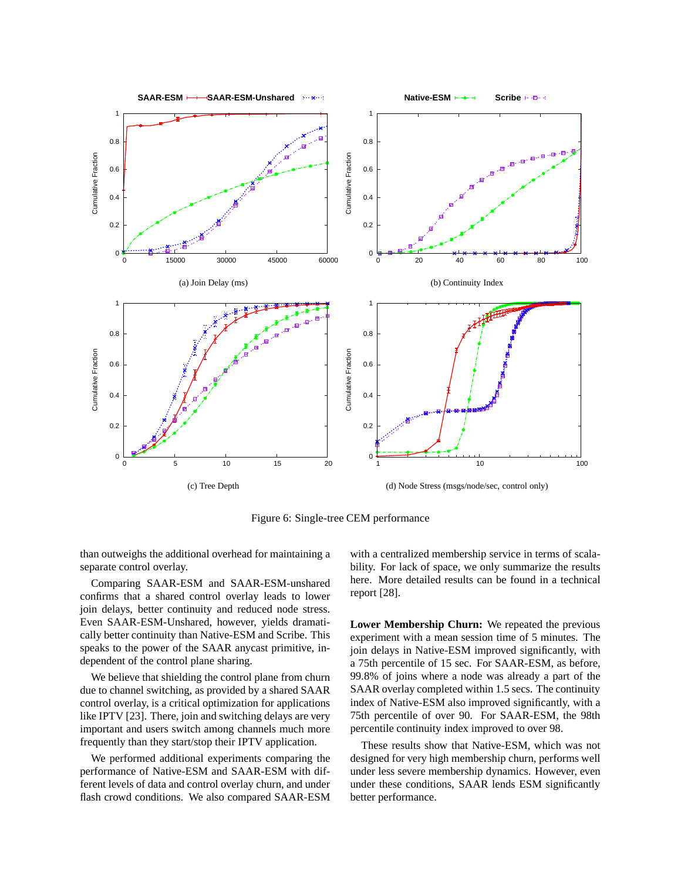

Figure 6: Single-tree CEM performance

than outweighs the additional overhead for maintaining a separate control overlay.

Comparing SAAR-ESM and SAAR-ESM-unshared confirms that a shared control overlay leads to lower join delays, better continuity and reduced node stress. Even SAAR-ESM-Unshared, however, yields dramatically better continuity than Native-ESM and Scribe. This speaks to the power of the SAAR anycast primitive, independent of the control plane sharing.

We believe that shielding the control plane from churn due to channel switching, as provided by a shared SAAR control overlay, is a critical optimization for applications like IPTV [23]. There, join and switching delays are very important and users switch among channels much more frequently than they start/stop their IPTV application.

We performed additional experiments comparing the performance of Native-ESM and SAAR-ESM with different levels of data and control overlay churn, and under flash crowd conditions. We also compared SAAR-ESM with a centralized membership service in terms of scalability. For lack of space, we only summarize the results here. More detailed results can be found in a technical report [28].

**Lower Membership Churn:** We repeated the previous experiment with a mean session time of 5 minutes. The join delays in Native-ESM improved significantly, with a 75th percentile of 15 sec. For SAAR-ESM, as before, 99.8% of joins where a node was already a part of the SAAR overlay completed within 1.5 secs. The continuity index of Native-ESM also improved significantly, with a 75th percentile of over 90. For SAAR-ESM, the 98th percentile continuity index improved to over 98.

These results show that Native-ESM, which was not designed for very high membership churn, performs well under less severe membership dynamics. However, even under these conditions, SAAR lends ESM significantly better performance.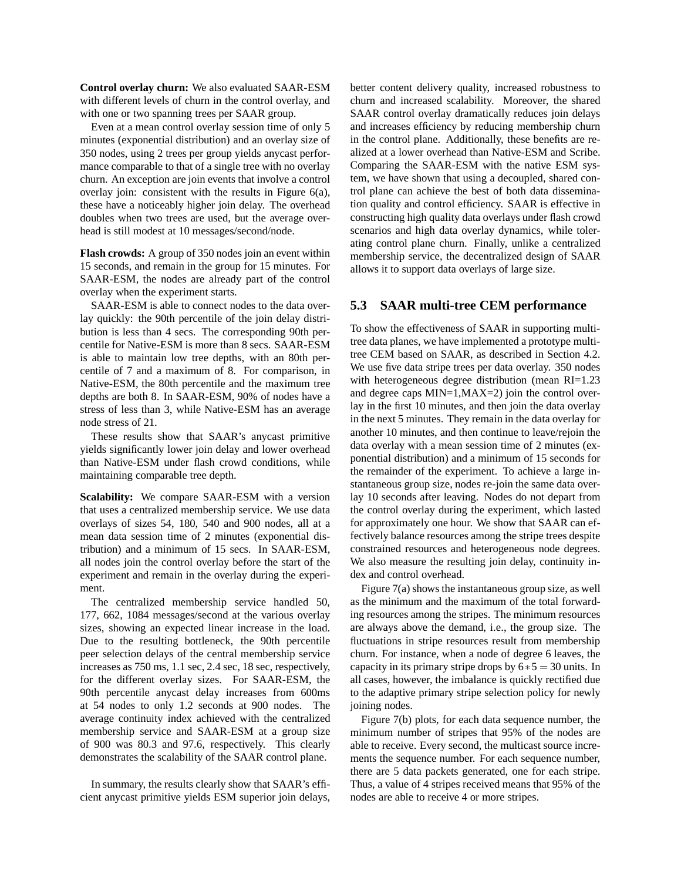**Control overlay churn:** We also evaluated SAAR-ESM with different levels of churn in the control overlay, and with one or two spanning trees per SAAR group.

Even at a mean control overlay session time of only 5 minutes (exponential distribution) and an overlay size of 350 nodes, using 2 trees per group yields anycast performance comparable to that of a single tree with no overlay churn. An exception are join events that involve a control overlay join: consistent with the results in Figure 6(a), these have a noticeably higher join delay. The overhead doubles when two trees are used, but the average overhead is still modest at 10 messages/second/node.

**Flash crowds:** A group of 350 nodes join an event within 15 seconds, and remain in the group for 15 minutes. For SAAR-ESM, the nodes are already part of the control overlay when the experiment starts.

SAAR-ESM is able to connect nodes to the data overlay quickly: the 90th percentile of the join delay distribution is less than 4 secs. The corresponding 90th percentile for Native-ESM is more than 8 secs. SAAR-ESM is able to maintain low tree depths, with an 80th percentile of 7 and a maximum of 8. For comparison, in Native-ESM, the 80th percentile and the maximum tree depths are both 8. In SAAR-ESM, 90% of nodes have a stress of less than 3, while Native-ESM has an average node stress of 21.

These results show that SAAR's anycast primitive yields significantly lower join delay and lower overhead than Native-ESM under flash crowd conditions, while maintaining comparable tree depth.

**Scalability:** We compare SAAR-ESM with a version that uses a centralized membership service. We use data overlays of sizes 54, 180, 540 and 900 nodes, all at a mean data session time of 2 minutes (exponential distribution) and a minimum of 15 secs. In SAAR-ESM, all nodes join the control overlay before the start of the experiment and remain in the overlay during the experiment.

The centralized membership service handled 50, 177, 662, 1084 messages/second at the various overlay sizes, showing an expected linear increase in the load. Due to the resulting bottleneck, the 90th percentile peer selection delays of the central membership service increases as 750 ms, 1.1 sec, 2.4 sec, 18 sec, respectively, for the different overlay sizes. For SAAR-ESM, the 90th percentile anycast delay increases from 600ms at 54 nodes to only 1.2 seconds at 900 nodes. The average continuity index achieved with the centralized membership service and SAAR-ESM at a group size of 900 was 80.3 and 97.6, respectively. This clearly demonstrates the scalability of the SAAR control plane.

In summary, the results clearly show that SAAR's efficient anycast primitive yields ESM superior join delays, better content delivery quality, increased robustness to churn and increased scalability. Moreover, the shared SAAR control overlay dramatically reduces join delays and increases efficiency by reducing membership churn in the control plane. Additionally, these benefits are realized at a lower overhead than Native-ESM and Scribe. Comparing the SAAR-ESM with the native ESM system, we have shown that using a decoupled, shared control plane can achieve the best of both data dissemination quality and control efficiency. SAAR is effective in constructing high quality data overlays under flash crowd scenarios and high data overlay dynamics, while tolerating control plane churn. Finally, unlike a centralized membership service, the decentralized design of SAAR allows it to support data overlays of large size.

### **5.3 SAAR multi-tree CEM performance**

To show the effectiveness of SAAR in supporting multitree data planes, we have implemented a prototype multitree CEM based on SAAR, as described in Section 4.2. We use five data stripe trees per data overlay. 350 nodes with heterogeneous degree distribution (mean RI=1.23 and degree caps MIN=1,MAX=2) join the control overlay in the first 10 minutes, and then join the data overlay in the next 5 minutes. They remain in the data overlay for another 10 minutes, and then continue to leave/rejoin the data overlay with a mean session time of 2 minutes (exponential distribution) and a minimum of 15 seconds for the remainder of the experiment. To achieve a large instantaneous group size, nodes re-join the same data overlay 10 seconds after leaving. Nodes do not depart from the control overlay during the experiment, which lasted for approximately one hour. We show that SAAR can effectively balance resources among the stripe trees despite constrained resources and heterogeneous node degrees. We also measure the resulting join delay, continuity index and control overhead.

Figure 7(a) shows the instantaneous group size, as well as the minimum and the maximum of the total forwarding resources among the stripes. The minimum resources are always above the demand, i.e., the group size. The fluctuations in stripe resources result from membership churn. For instance, when a node of degree 6 leaves, the capacity in its primary stripe drops by  $6*5 = 30$  units. In all cases, however, the imbalance is quickly rectified due to the adaptive primary stripe selection policy for newly joining nodes.

Figure 7(b) plots, for each data sequence number, the minimum number of stripes that 95% of the nodes are able to receive. Every second, the multicast source increments the sequence number. For each sequence number, there are 5 data packets generated, one for each stripe. Thus, a value of 4 stripes received means that 95% of the nodes are able to receive 4 or more stripes.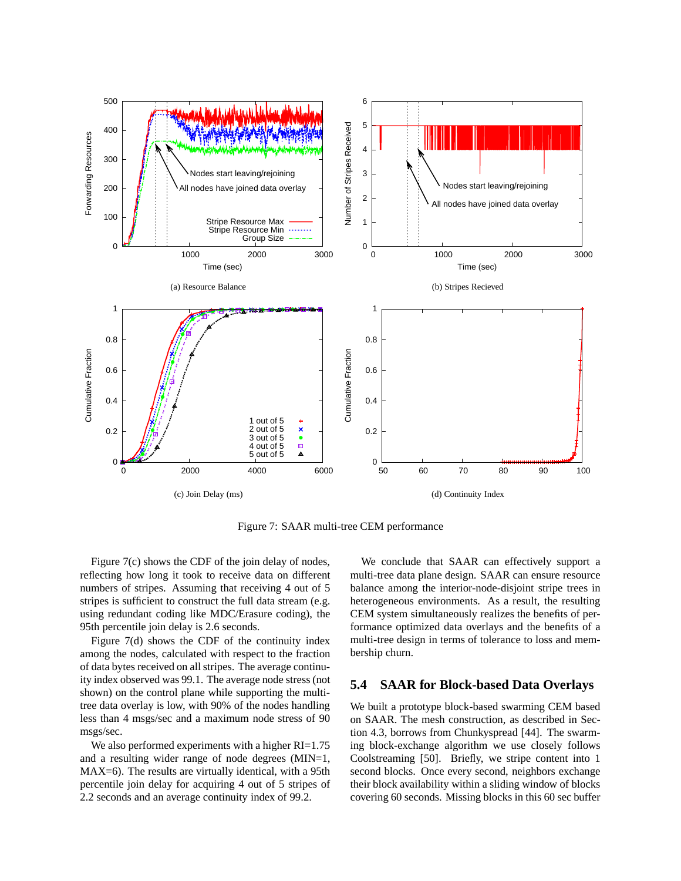

Figure 7: SAAR multi-tree CEM performance

Figure 7(c) shows the CDF of the join delay of nodes, reflecting how long it took to receive data on different numbers of stripes. Assuming that receiving 4 out of 5 stripes is sufficient to construct the full data stream (e.g. using redundant coding like MDC/Erasure coding), the 95th percentile join delay is 2.6 seconds.

Figure 7(d) shows the CDF of the continuity index among the nodes, calculated with respect to the fraction of data bytes received on all stripes. The average continuity index observed was 99.1. The average node stress (not shown) on the control plane while supporting the multitree data overlay is low, with 90% of the nodes handling less than 4 msgs/sec and a maximum node stress of 90 msgs/sec.

We also performed experiments with a higher RI=1.75 and a resulting wider range of node degrees (MIN=1, MAX=6). The results are virtually identical, with a 95th percentile join delay for acquiring 4 out of 5 stripes of 2.2 seconds and an average continuity index of 99.2.

We conclude that SAAR can effectively support a multi-tree data plane design. SAAR can ensure resource balance among the interior-node-disjoint stripe trees in heterogeneous environments. As a result, the resulting CEM system simultaneously realizes the benefits of performance optimized data overlays and the benefits of a multi-tree design in terms of tolerance to loss and membership churn.

## **5.4 SAAR for Block-based Data Overlays**

We built a prototype block-based swarming CEM based on SAAR. The mesh construction, as described in Section 4.3, borrows from Chunkyspread [44]. The swarming block-exchange algorithm we use closely follows Coolstreaming [50]. Briefly, we stripe content into 1 second blocks. Once every second, neighbors exchange their block availability within a sliding window of blocks covering 60 seconds. Missing blocks in this 60 sec buffer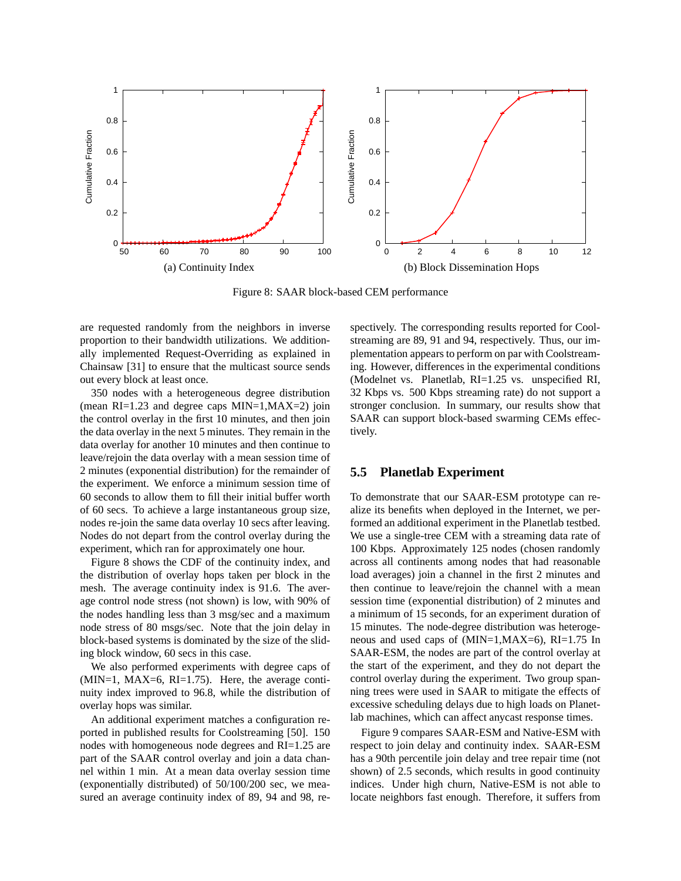

Figure 8: SAAR block-based CEM performance

are requested randomly from the neighbors in inverse proportion to their bandwidth utilizations. We additionally implemented Request-Overriding as explained in Chainsaw [31] to ensure that the multicast source sends out every block at least once.

350 nodes with a heterogeneous degree distribution (mean RI=1.23 and degree caps MIN=1,MAX=2) join the control overlay in the first 10 minutes, and then join the data overlay in the next 5 minutes. They remain in the data overlay for another 10 minutes and then continue to leave/rejoin the data overlay with a mean session time of 2 minutes (exponential distribution) for the remainder of the experiment. We enforce a minimum session time of 60 seconds to allow them to fill their initial buffer worth of 60 secs. To achieve a large instantaneous group size, nodes re-join the same data overlay 10 secs after leaving. Nodes do not depart from the control overlay during the experiment, which ran for approximately one hour.

Figure 8 shows the CDF of the continuity index, and the distribution of overlay hops taken per block in the mesh. The average continuity index is 91.6. The average control node stress (not shown) is low, with 90% of the nodes handling less than 3 msg/sec and a maximum node stress of 80 msgs/sec. Note that the join delay in block-based systems is dominated by the size of the sliding block window, 60 secs in this case.

We also performed experiments with degree caps of  $(MIN=1, MAX=6, RI=1.75)$ . Here, the average continuity index improved to 96.8, while the distribution of overlay hops was similar.

An additional experiment matches a configuration reported in published results for Coolstreaming [50]. 150 nodes with homogeneous node degrees and RI=1.25 are part of the SAAR control overlay and join a data channel within 1 min. At a mean data overlay session time (exponentially distributed) of 50/100/200 sec, we measured an average continuity index of 89, 94 and 98, respectively. The corresponding results reported for Coolstreaming are 89, 91 and 94, respectively. Thus, our implementation appears to perform on par with Coolstreaming. However, differences in the experimental conditions (Modelnet vs. Planetlab, RI=1.25 vs. unspecified RI, 32 Kbps vs. 500 Kbps streaming rate) do not support a stronger conclusion. In summary, our results show that SAAR can support block-based swarming CEMs effectively.

### **5.5 Planetlab Experiment**

To demonstrate that our SAAR-ESM prototype can realize its benefits when deployed in the Internet, we performed an additional experiment in the Planetlab testbed. We use a single-tree CEM with a streaming data rate of 100 Kbps. Approximately 125 nodes (chosen randomly across all continents among nodes that had reasonable load averages) join a channel in the first 2 minutes and then continue to leave/rejoin the channel with a mean session time (exponential distribution) of 2 minutes and a minimum of 15 seconds, for an experiment duration of 15 minutes. The node-degree distribution was heterogeneous and used caps of (MIN=1,MAX=6), RI=1.75 In SAAR-ESM, the nodes are part of the control overlay at the start of the experiment, and they do not depart the control overlay during the experiment. Two group spanning trees were used in SAAR to mitigate the effects of excessive scheduling delays due to high loads on Planetlab machines, which can affect anycast response times.

Figure 9 compares SAAR-ESM and Native-ESM with respect to join delay and continuity index. SAAR-ESM has a 90th percentile join delay and tree repair time (not shown) of 2.5 seconds, which results in good continuity indices. Under high churn, Native-ESM is not able to locate neighbors fast enough. Therefore, it suffers from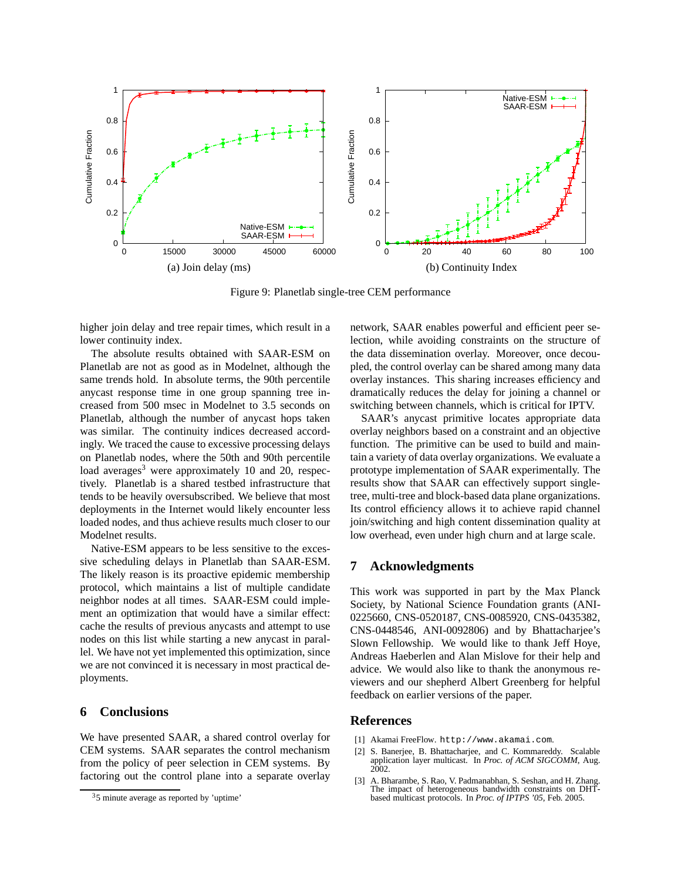

Figure 9: Planetlab single-tree CEM performance

higher join delay and tree repair times, which result in a lower continuity index.

The absolute results obtained with SAAR-ESM on Planetlab are not as good as in Modelnet, although the same trends hold. In absolute terms, the 90th percentile anycast response time in one group spanning tree increased from 500 msec in Modelnet to 3.5 seconds on Planetlab, although the number of anycast hops taken was similar. The continuity indices decreased accordingly. We traced the cause to excessive processing delays on Planetlab nodes, where the 50th and 90th percentile load averages<sup>3</sup> were approximately 10 and 20, respectively. Planetlab is a shared testbed infrastructure that tends to be heavily oversubscribed. We believe that most deployments in the Internet would likely encounter less loaded nodes, and thus achieve results much closer to our Modelnet results.

Native-ESM appears to be less sensitive to the excessive scheduling delays in Planetlab than SAAR-ESM. The likely reason is its proactive epidemic membership protocol, which maintains a list of multiple candidate neighbor nodes at all times. SAAR-ESM could implement an optimization that would have a similar effect: cache the results of previous anycasts and attempt to use nodes on this list while starting a new anycast in parallel. We have not yet implemented this optimization, since we are not convinced it is necessary in most practical deployments.

## **6 Conclusions**

We have presented SAAR, a shared control overlay for CEM systems. SAAR separates the control mechanism from the policy of peer selection in CEM systems. By factoring out the control plane into a separate overlay network, SAAR enables powerful and efficient peer selection, while avoiding constraints on the structure of the data dissemination overlay. Moreover, once decoupled, the control overlay can be shared among many data overlay instances. This sharing increases efficiency and dramatically reduces the delay for joining a channel or switching between channels, which is critical for IPTV.

SAAR's anycast primitive locates appropriate data overlay neighbors based on a constraint and an objective function. The primitive can be used to build and maintain a variety of data overlay organizations. We evaluate a prototype implementation of SAAR experimentally. The results show that SAAR can effectively support singletree, multi-tree and block-based data plane organizations. Its control efficiency allows it to achieve rapid channel join/switching and high content dissemination quality at low overhead, even under high churn and at large scale.

### **7 Acknowledgments**

This work was supported in part by the Max Planck Society, by National Science Foundation grants (ANI-0225660, CNS-0520187, CNS-0085920, CNS-0435382, CNS-0448546, ANI-0092806) and by Bhattacharjee's Slown Fellowship. We would like to thank Jeff Hoye, Andreas Haeberlen and Alan Mislove for their help and advice. We would also like to thank the anonymous reviewers and our shepherd Albert Greenberg for helpful feedback on earlier versions of the paper.

### **References**

- [1] Akamai FreeFlow. http://www.akamai.com.
- [2] S. Banerjee, B. Bhattacharjee, and C. Kommareddy. Scalable application layer multicast. In *Proc. of ACM SIGCOMM*, Aug. 2002.
- [3] A. Bharambe, S. Rao, V. Padmanabhan, S. Seshan, and H. Zhang. The impact of heterogeneous bandwidth constraints on DHTbased multicast protocols. In *Proc. of IPTPS '05*, Feb. 2005.

 $35$  minute average as reported by 'uptime'